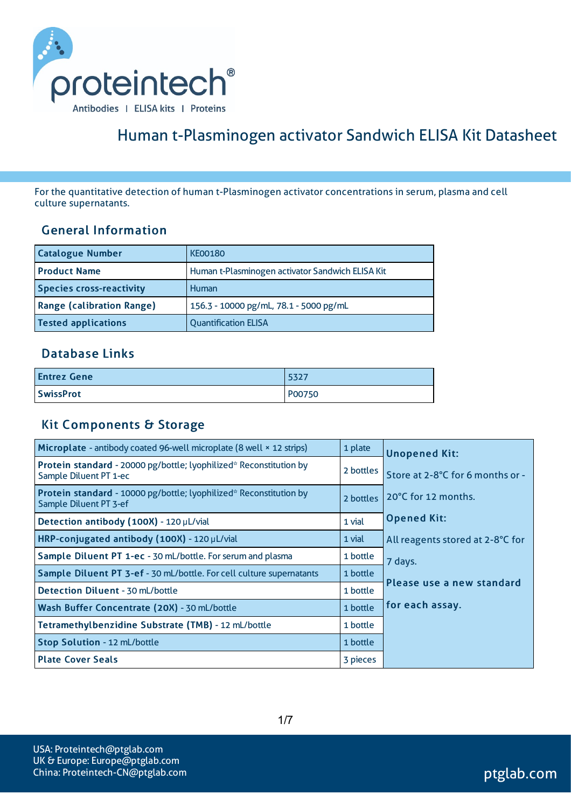

# Human t-Plasminogen activator Sandwich ELISA Kit Datasheet

For the quantitative detection of human t-Plasminogen activator concentrationsin serum, plasma and cell culture supernatants.

#### General Information

| <b>Catalogue Number</b>          | <b>KE00180</b>                                   |
|----------------------------------|--------------------------------------------------|
| <b>Product Name</b>              | Human t-Plasminogen activator Sandwich ELISA Kit |
| <b>Species cross-reactivity</b>  | Human                                            |
| <b>Range (calibration Range)</b> | 156.3 - 10000 pg/mL, 78.1 - 5000 pg/mL           |
| <b>Tested applications</b>       | <b>Quantification ELISA</b>                      |

#### Database Links

| <b>Entrez Gene</b> | 5327   |
|--------------------|--------|
| <b>SwissProt</b>   | P00750 |

#### Kit Components & Storage

| Microplate - antibody coated 96-well microplate (8 well × 12 strips)                         | 1 plate   | <b>Unopened Kit:</b>             |
|----------------------------------------------------------------------------------------------|-----------|----------------------------------|
| Protein standard - 20000 pg/bottle; lyophilized* Reconstitution by<br>Sample Diluent PT 1-ec | 2 bottles | Store at 2-8°C for 6 months or - |
| Protein standard - 10000 pg/bottle; lyophilized* Reconstitution by<br>Sample Diluent PT 3-ef | 2 bottles | 20°C for 12 months.              |
| Detection antibody (100X) - 120 µL/vial                                                      | 1 vial    | <b>Opened Kit:</b>               |
| HRP-conjugated antibody (100X) - 120 µL/vial                                                 | 1 vial    | All reagents stored at 2-8°C for |
| Sample Diluent PT 1-ec - 30 mL/bottle. For serum and plasma                                  | 1 bottle  | 7 days.                          |
| Sample Diluent PT 3-ef - 30 mL/bottle. For cell culture supernatants                         | 1 bottle  |                                  |
| Detection Diluent - 30 mL/bottle                                                             | 1 bottle  | Please use a new standard        |
| Wash Buffer Concentrate (20X) - 30 mL/bottle                                                 | 1 bottle  | for each assay.                  |
| Tetramethylbenzidine Substrate (TMB) - 12 mL/bottle                                          | 1 bottle  |                                  |
| Stop Solution - 12 mL/bottle                                                                 | 1 bottle  |                                  |
| <b>Plate Cover Seals</b>                                                                     | 3 pieces  |                                  |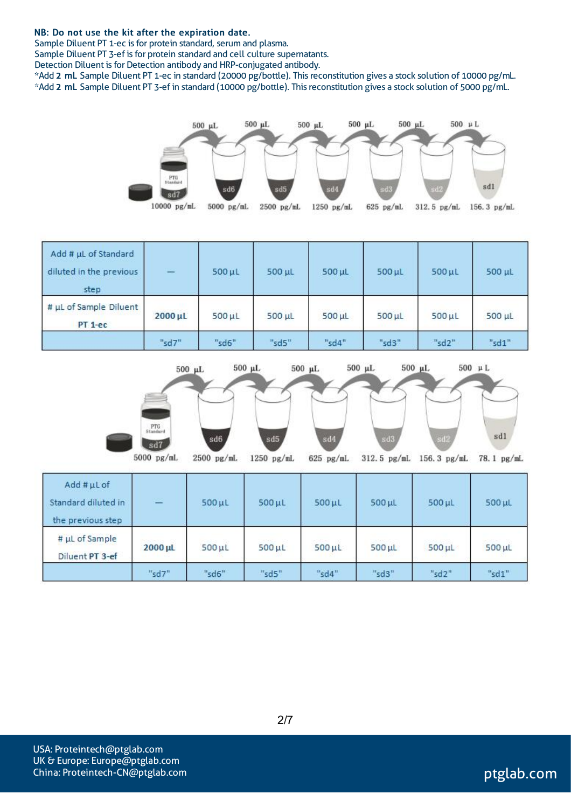#### NB: Do not use the kit after the expiration date.

Sample Diluent PT 1-ec is for protein standard, serum and plasma.

Sample Diluent PT 3-ef is for protein standard and cell culture supernatants.

Detection Diluent is for Detection antibody and HRP-conjugated antibody.

\*Add 2 mL Sample Diluent PT 1-ec in standard (20000 pg/bottle). Thisreconstitution gives a stock solution of 10000 pg/mL. \*Add 2 mL Sample Diluent PT 3-ef in standard (10000 pg/bottle). Thisreconstitution gives a stock solution of 5000 pg/mL.



| Add # µL of Standard<br>diluted in the previous<br>step | $-$     | $500$ $\mu$ L | 500 µL      | 500 µL      | 500 µL | 500 µL | $500$ $\mu$ L |
|---------------------------------------------------------|---------|---------------|-------------|-------------|--------|--------|---------------|
| # µL of Sample Diluent<br>$PT$ 1-ec                     | 2000 µL | $500 \mu L$   | $500 \mu L$ | $500 \mu L$ | 500 µL | 500 µL | 500 µL        |
|                                                         | "sd7"   | "sd6"         | "sd $5"$    | "sd4"       | "sd3"  | "sd2"  | "sd1"         |



| Add #µLof<br>Standard diluted in<br>the previous step | $\overline{\phantom{0}}$ | $500 \mu L$   | $500 \mu L$ | $500$ $\mu$ L | $500 \mu L$ | $500$ $\mu$ L | 500 µL |
|-------------------------------------------------------|--------------------------|---------------|-------------|---------------|-------------|---------------|--------|
| # µL of Sample<br>Diluent PT 3-ef                     | $2000 \mu L$             | $500$ $\mu$ L | $500 \mu L$ | $500$ $\mu$ L | $500 \mu L$ | $500$ $\mu$ L | 500 µL |
|                                                       | "sd7"                    | "sd6"         | "sd5"       | "sd4"         | "sd3"       | "sd2"         | "sd1"  |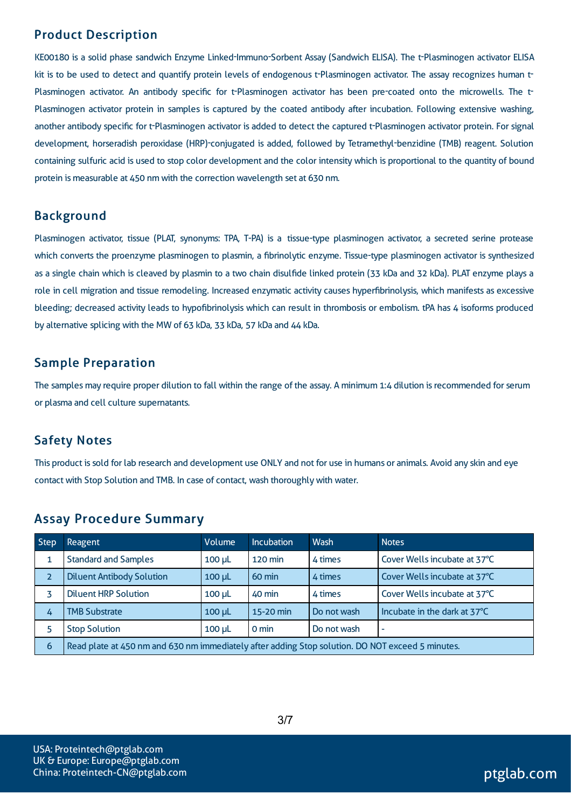# Product Description

KE00180 is a solid phase sandwich Enzyme Linked-Immuno-Sorbent Assay (Sandwich ELISA). The t-Plasminogen activator ELISA kit is to be used to detect and quantify protein levels of endogenous t-Plasminogen activator. The assay recognizes human t-Plasminogen activator. An antibody specific for t-Plasminogen activator has been pre-coated onto the microwells. The t-Plasminogen activator protein in samples is captured by the coated antibody after incubation. Following extensive washing, another antibody specific for t-Plasminogen activator is added to detect the captured t-Plasminogen activator protein. Forsignal development, horseradish peroxidase (HRP)-conjugated is added, followed by Tetramethyl-benzidine (TMB) reagent. Solution containing sulfuric acid is used to stop color development and the color intensity which is proportional to the quantity of bound protein is measurable at 450 nm with the correction wavelength set at 630 nm.

#### Background

Plasminogen activator, tissue (PLAT, synonyms: TPA, T-PA) is a tissue-type plasminogen activator, a secreted serine protease which converts the proenzyme plasminogen to plasmin, a fibrinolytic enzyme. Tissue-type plasminogen activator is synthesized as a single chain which is cleaved by plasmin to a two chain disulfide linked protein (33 kDa and 32 kDa). PLAT enzyme plays a role in cell migration and tissue remodeling. Increased enzymatic activity causes hyperfibrinolysis, which manifests as excessive bleeding; decreased activity leads to hypofibrinolysis which can result in thrombosis or embolism. tPA has 4 isoforms produced by alternative splicing with the MW of 63 kDa, 33 kDa, 57 kDa and 44 kDa.

# Sample Preparation

The samples may require proper dilution to fall within the range of the assay. A minimum 1:4 dilution is recommended for serum or plasma and cell culture supernatants.

# Safety Notes

This product issold for lab research and development use ONLY and not for use in humans or animals. Avoid any skin and eye contact with Stop Solution and TMB. In case of contact, wash thoroughly with water.

| <b>Step</b>    | Reagent                                                                                           | Volume      | <b>Incubation</b> | <b>Wash</b> | <b>Notes</b>                 |  |  |
|----------------|---------------------------------------------------------------------------------------------------|-------------|-------------------|-------------|------------------------------|--|--|
| 1              | <b>Standard and Samples</b>                                                                       | $100 \mu L$ | 120 min           | 4 times     | Cover Wells incubate at 37°C |  |  |
| $\overline{2}$ | <b>Diluent Antibody Solution</b>                                                                  | $100 \mu L$ | 60 min            | 4 times     | Cover Wells incubate at 37°C |  |  |
|                | <b>Diluent HRP Solution</b>                                                                       | $100 \mu L$ | 40 min            | 4 times     | Cover Wells incubate at 37°C |  |  |
| 4              | <b>TMB Substrate</b>                                                                              | $100$ $\mu$ | 15-20 min         | Do not wash | Incubate in the dark at 37°C |  |  |
| 5              | <b>Stop Solution</b><br>$0 \text{ min}$<br>Do not wash<br>$100 \mu L$<br>$\overline{\phantom{a}}$ |             |                   |             |                              |  |  |
| 6              | Read plate at 450 nm and 630 nm immediately after adding Stop solution. DO NOT exceed 5 minutes.  |             |                   |             |                              |  |  |

# Assay Procedure Summary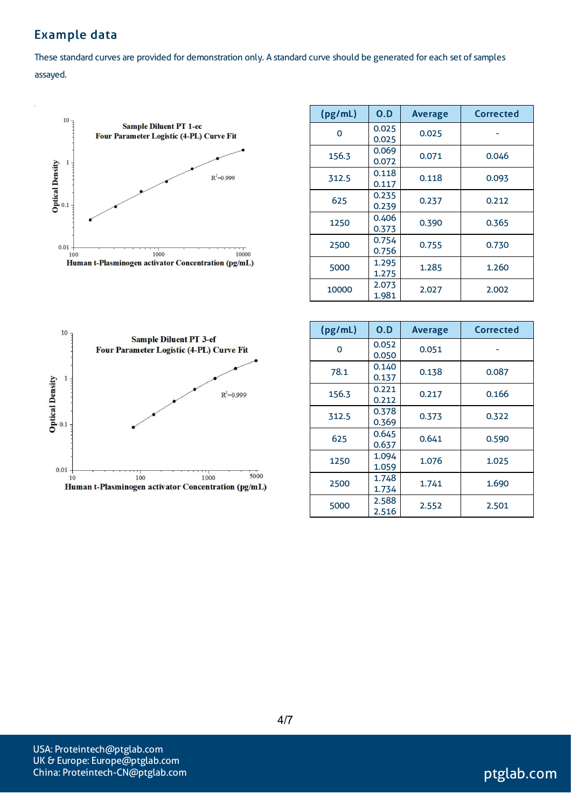# Example data

These standard curves are provided for demonstration only. A standard curve should be generated for each set of samples assayed.



| (pg/mL)  | 0.D            | <b>Average</b> | <b>Corrected</b> |
|----------|----------------|----------------|------------------|
| $\Omega$ | 0.025<br>0.025 | 0.025          |                  |
| 156.3    | 0.069<br>0.072 | 0.071          | 0.046            |
| 312.5    | 0.118<br>0.117 | 0.118          | 0.093            |
| 625      | 0.235<br>0.239 | 0.237          | 0.212            |
| 1250     | 0.406<br>0.373 | 0.390          | 0.365            |
| 2500     | 0.754<br>0.756 | 0.755          | 0.730            |
| 5000     | 1.295<br>1.275 | 1.285          | 1.260            |
| 10000    | 2.073<br>1.981 | 2.027          | 2.002            |



| (pg/mL) | O.D            | <b>Average</b> | Corrected |
|---------|----------------|----------------|-----------|
| 0       | 0.052<br>0.050 | 0.051          |           |
| 78.1    | 0.140<br>0.137 | 0.138          | 0.087     |
| 156.3   | 0.221<br>0.212 | 0.217          | 0.166     |
| 312.5   | 0.378<br>0.369 | 0.373          | 0.322     |
| 625     | 0.645<br>0.637 | 0.641          | 0.590     |
| 1250    | 1.094<br>1.059 | 1.076          | 1.025     |
| 2500    | 1.748<br>1.734 | 1.741          | 1.690     |
| 5000    | 2.588<br>2.516 | 2.552          | 2.501     |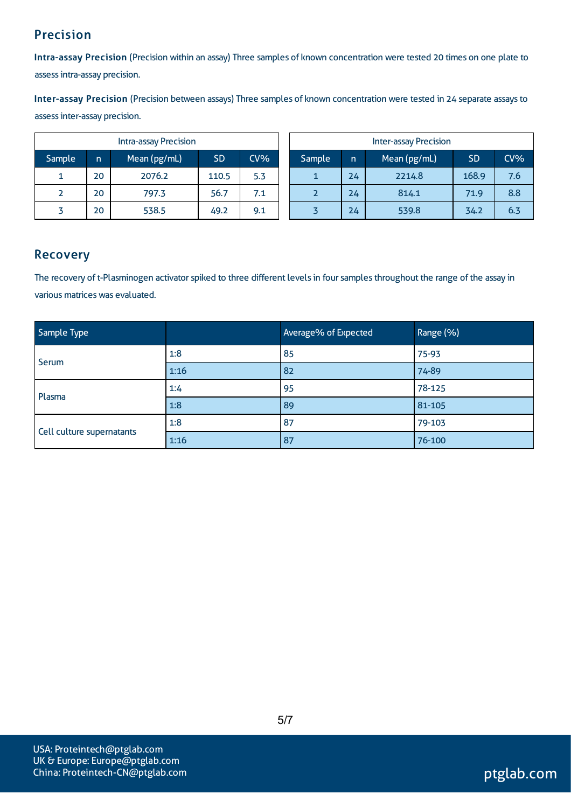# Precision

Intra-assay Precision (Precision within an assay) Three samples of known concentration were tested 20 times on one plate to assessintra-assay precision.

Inter-assay Precision (Precision between assays) Three samples of known concentration were tested in 24 separate assaysto assessinter-assay precision.

| Intra-assay Precision |              |              |           |        |        | <b>Inter-assay Precision</b> |              |           |        |
|-----------------------|--------------|--------------|-----------|--------|--------|------------------------------|--------------|-----------|--------|
| 'Sample               | $\mathsf{n}$ | Mean (pg/mL) | <b>SD</b> | $CV\%$ | Sample | In.                          | Mean (pg/mL) | <b>SD</b> | $CV\%$ |
|                       | 20           | 2076.2       | 110.5     | 5.3    |        | 24                           | 2214.8       | 168.9     | 7.6    |
|                       | 20           | 797.3        | 56.7      | 7.1    |        | 24                           | 814.1        | 71.9      | 8.8    |
|                       | 20           | 538.5        | 49.2      | 9.1    |        | 24                           | 539.8        | 34.2      | 6.3    |

## Recovery

The recovery of t-Plasminogen activator spiked to three different levels in four samples throughout the range of the assay in various matrices was evaluated.

| Sample Type               |      | Average% of Expected | Range (%) |
|---------------------------|------|----------------------|-----------|
| Serum                     | 1:8  | 85                   | 75-93     |
|                           | 1:16 | 82                   | 74-89     |
| Plasma                    | 1:4  | 95                   | 78-125    |
|                           | 1:8  | 89                   | 81-105    |
|                           | 1:8  | 87                   | 79-103    |
| Cell culture supernatants | 1:16 | 87                   | 76-100    |

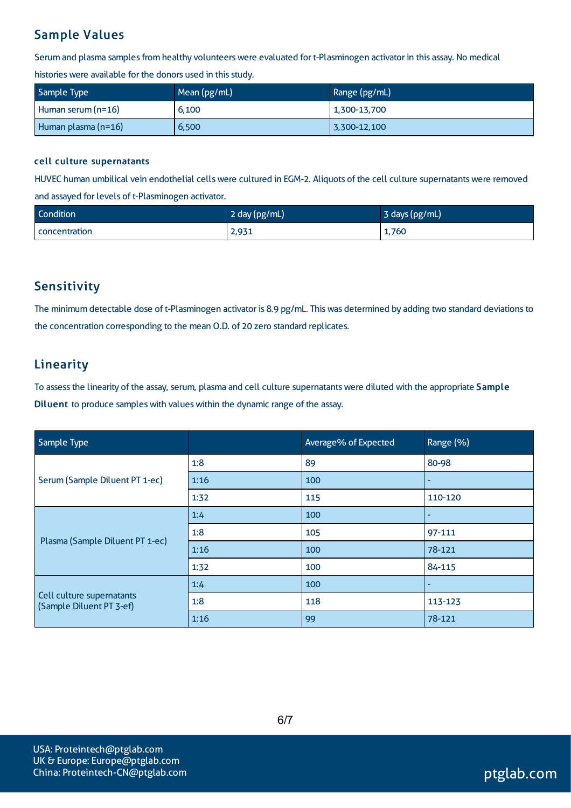# Sample Values

Serum and plasma samples from healthy volunteers were evaluated for t-Plasminogen activator in this assay. No medical

histories were available for the donors used in this study.

| Sample Type         | Mean (pg/mL) | Range (pg/mL) |  |
|---------------------|--------------|---------------|--|
| Human serum (n=16)  | 6,100        | 1,300-13,700  |  |
| Human plasma (n=16) | 6,500        | 3,300-12,100  |  |

#### cell culture supernatants

HUVEC human umbilical vein endothelial cells were cultured in EGM-2. Aliquots of the cell culture supernatants were removed and assayed for levels of t-Plasminogen activator.

| Condition            | 2 day (pg/mL) | 3 days (pg/mL) |
|----------------------|---------------|----------------|
| <b>concentration</b> | 2,931         | 1,760          |

## **Sensitivity**

The minimum detectable dose of t-Plasminogen activator is 8.9 pg/mL. This was determined by adding two standard deviations to the concentration corresponding to the mean O.D. of 20 zero standard replicates.

## Linearity

To assessthe linearity of the assay, serum, plasma and cell culture supernatantswere diluted with the appropriate Sample Diluent to produce samples with values within the dynamic range of the assay.

| Sample Type                                           |      | Average% of Expected | Range (%) |
|-------------------------------------------------------|------|----------------------|-----------|
| Serum (Sample Diluent PT 1-ec)                        | 1:8  | 89                   | 80-98     |
|                                                       | 1:16 | 100                  |           |
|                                                       | 1:32 | 115                  | 110-120   |
| Plasma (Sample Diluent PT 1-ec)                       | 1:4  | 100                  |           |
|                                                       | 1:8  | 105                  | 97-111    |
|                                                       | 1:16 | 100                  | 78-121    |
|                                                       | 1:32 | 100                  | 84-115    |
| Cell culture supernatants<br>(Sample Diluent PT 3-ef) | 1:4  | 100                  |           |
|                                                       | 1:8  | 118                  | 113-123   |
|                                                       | 1:16 | 99                   | 78-121    |